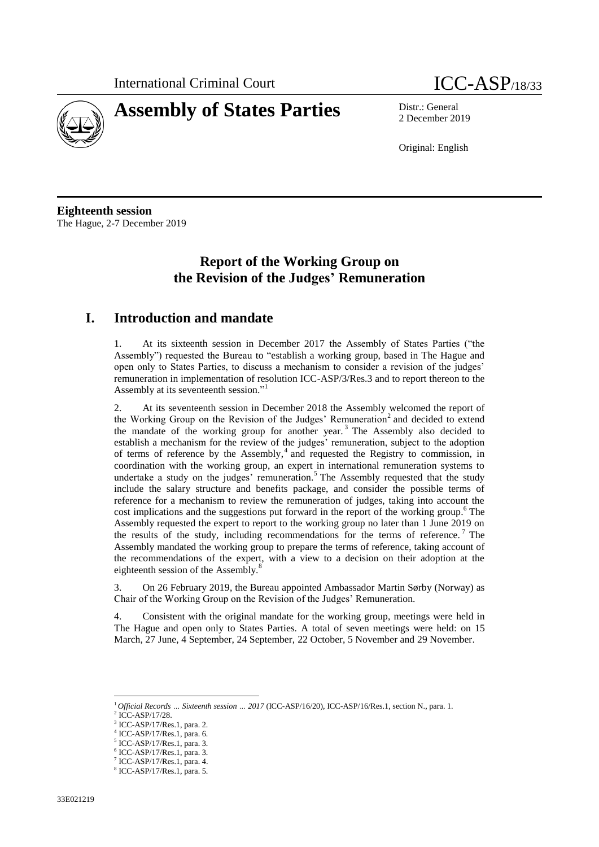



2 December 2019

Original: English

**Eighteenth session** The Hague, 2-7 December 2019

# **Report of the Working Group on the Revision of the Judges' Remuneration**

#### **I. Introduction and mandate**

1. At its sixteenth session in December 2017 the Assembly of States Parties ("the Assembly") requested the Bureau to "establish a working group, based in The Hague and open only to States Parties, to discuss a mechanism to consider a revision of the judges' remuneration in implementation of resolution ICC-ASP/3/Res.3 and to report thereon to the Assembly at its seventeenth session."<sup>1</sup>

2. At its seventeenth session in December 2018 the Assembly welcomed the report of the Working Group on the Revision of the Judges' Remuneration<sup>2</sup> and decided to extend the mandate of the working group for another year.<sup>3</sup> The Assembly also decided to establish a mechanism for the review of the judges' remuneration, subject to the adoption of terms of reference by the Assembly, 4 and requested the Registry to commission, in coordination with the working group, an expert in international remuneration systems to undertake a study on the judges' remuneration.<sup>5</sup> The Assembly requested that the study include the salary structure and benefits package, and consider the possible terms of reference for a mechanism to review the remuneration of judges, taking into account the cost implications and the suggestions put forward in the report of the working group. <sup>6</sup> The Assembly requested the expert to report to the working group no later than 1 June 2019 on the results of the study, including recommendations for the terms of reference.<sup>7</sup> The Assembly mandated the working group to prepare the terms of reference, taking account of the recommendations of the expert, with a view to a decision on their adoption at the eighteenth session of the Assembly. $\delta$ 

3. On 26 February 2019, the Bureau appointed Ambassador Martin Sørby (Norway) as Chair of the Working Group on the Revision of the Judges' Remuneration.

4. Consistent with the original mandate for the working group, meetings were held in The Hague and open only to States Parties. A total of seven meetings were held: on 15 March, 27 June, 4 September, 24 September, 22 October, 5 November and 29 November.

 $\overline{a}$ 

<sup>1</sup> *Official Records … Sixteenth session … 2017* (ICC-ASP/16/20), ICC-ASP/16/Res.1, section N., para. 1.

<sup>2</sup> ICC-ASP/17/28.

<sup>3</sup> ICC-ASP/17/Res.1, para. 2.

<sup>4</sup> ICC-ASP/17/Res.1, para. 6.

<sup>5</sup> ICC-ASP/17/Res.1, para. 3.

<sup>6</sup> ICC-ASP/17/Res.1, para. 3.

<sup>7</sup> ICC-ASP/17/Res.1, para. 4.

<sup>8</sup> ICC-ASP/17/Res.1, para. 5.